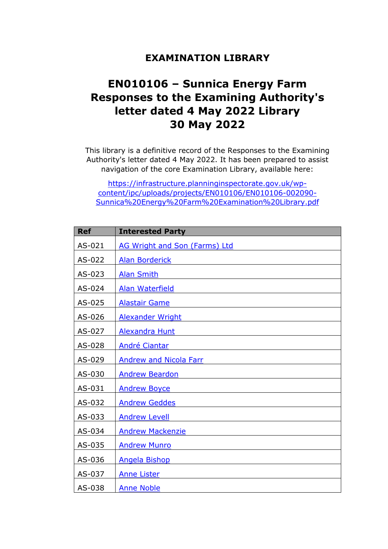## **EXAMINATION LIBRARY**

## **EN010106 – Sunnica Energy Farm Responses to the Examining Authority's letter dated 4 May 2022 Library 30 May 2022**

This library is a definitive record of the Responses to the Examining Authority's letter dated 4 May 2022. It has been prepared to assist navigation of the core Examination Library, available here:

[https://infrastructure.planninginspectorate.gov.uk/wp](https://infrastructure.planninginspectorate.gov.uk/wp-content/ipc/uploads/projects/EN010106/EN010106-002090-Sunnica%20Energy%20Farm%20Examination%20Library.pdf)[content/ipc/uploads/projects/EN010106/EN010106-002090-](https://infrastructure.planninginspectorate.gov.uk/wp-content/ipc/uploads/projects/EN010106/EN010106-002090-Sunnica%20Energy%20Farm%20Examination%20Library.pdf) [Sunnica%20Energy%20Farm%20Examination%20Library.pdf](https://infrastructure.planninginspectorate.gov.uk/wp-content/ipc/uploads/projects/EN010106/EN010106-002090-Sunnica%20Energy%20Farm%20Examination%20Library.pdf)

| <b>Ref</b> | <b>Interested Party</b>              |
|------------|--------------------------------------|
| AS-021     | <b>AG Wright and Son (Farms) Ltd</b> |
| AS-022     | <b>Alan Borderick</b>                |
| AS-023     | <b>Alan Smith</b>                    |
| AS-024     | <b>Alan Waterfield</b>               |
| AS-025     | <b>Alastair Game</b>                 |
| AS-026     | <b>Alexander Wright</b>              |
| AS-027     | <b>Alexandra Hunt</b>                |
| AS-028     | <b>André Ciantar</b>                 |
| AS-029     | <b>Andrew and Nicola Farr</b>        |
| AS-030     | <b>Andrew Beardon</b>                |
| AS-031     | <b>Andrew Boyce</b>                  |
| AS-032     | <b>Andrew Geddes</b>                 |
| AS-033     | <b>Andrew Levell</b>                 |
| AS-034     | <b>Andrew Mackenzie</b>              |
| AS-035     | <b>Andrew Munro</b>                  |
| AS-036     | <b>Angela Bishop</b>                 |
| AS-037     | <b>Anne Lister</b>                   |
| AS-038     | <b>Anne Noble</b>                    |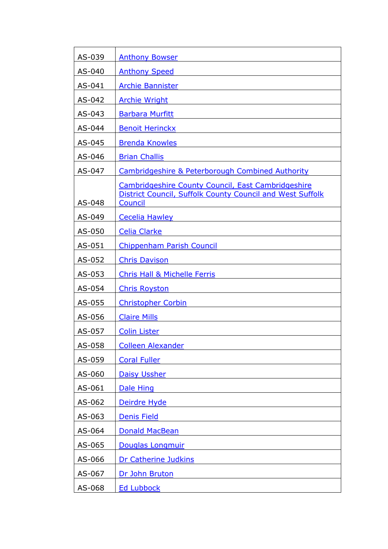| AS-039 | <b>Anthony Bowser</b>                                                                                                      |
|--------|----------------------------------------------------------------------------------------------------------------------------|
| AS-040 | <b>Anthony Speed</b>                                                                                                       |
| AS-041 | <b>Archie Bannister</b>                                                                                                    |
| AS-042 | <b>Archie Wright</b>                                                                                                       |
| AS-043 | <b>Barbara Murfitt</b>                                                                                                     |
| AS-044 | <b>Benoit Herinckx</b>                                                                                                     |
| AS-045 | <b>Brenda Knowles</b>                                                                                                      |
| AS-046 | <b>Brian Challis</b>                                                                                                       |
| AS-047 | <b>Cambridgeshire &amp; Peterborough Combined Authority</b>                                                                |
| AS-048 | Cambridgeshire County Council, East Cambridgeshire<br>District Council, Suffolk County Council and West Suffolk<br>Council |
| AS-049 | <b>Cecelia Hawley</b>                                                                                                      |
| AS-050 | <b>Celia Clarke</b>                                                                                                        |
| AS-051 | <b>Chippenham Parish Council</b>                                                                                           |
| AS-052 | <b>Chris Davison</b>                                                                                                       |
| AS-053 | <b>Chris Hall &amp; Michelle Ferris</b>                                                                                    |
| AS-054 | <b>Chris Royston</b>                                                                                                       |
| AS-055 | <b>Christopher Corbin</b>                                                                                                  |
| AS-056 | <b>Claire Mills</b>                                                                                                        |
| AS-057 | <b>Colin Lister</b>                                                                                                        |
| AS-058 | <b>Colleen Alexander</b>                                                                                                   |
| AS-059 | <b>Coral Fuller</b>                                                                                                        |
| AS-060 | <b>Daisy Ussher</b>                                                                                                        |
| AS-061 | Dale Hing                                                                                                                  |
| AS-062 | Deirdre Hyde                                                                                                               |
| AS-063 | <b>Denis Field</b>                                                                                                         |
| AS-064 | Donald MacBean                                                                                                             |
| AS-065 | Douglas Longmuir                                                                                                           |
| AS-066 | Dr Catherine Judkins                                                                                                       |
| AS-067 | Dr John Bruton                                                                                                             |
| AS-068 | <b>Ed Lubbock</b>                                                                                                          |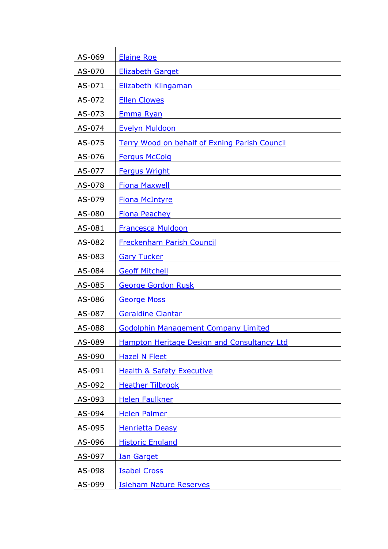| AS-069 | <b>Elaine Roe</b>                                    |
|--------|------------------------------------------------------|
| AS-070 | <b>Elizabeth Garget</b>                              |
| AS-071 | <b>Elizabeth Klingaman</b>                           |
| AS-072 | <b>Ellen Clowes</b>                                  |
| AS-073 | <u>Emma Ryan</u>                                     |
| AS-074 | <b>Evelyn Muldoon</b>                                |
| AS-075 | <b>Terry Wood on behalf of Exning Parish Council</b> |
| AS-076 | <b>Fergus McCoig</b>                                 |
| AS-077 | <b>Fergus Wright</b>                                 |
| AS-078 | <b>Fiona Maxwell</b>                                 |
| AS-079 | <b>Fiona McIntyre</b>                                |
| AS-080 | <b>Fiona Peachey</b>                                 |
| AS-081 | <b>Francesca Muldoon</b>                             |
| AS-082 | <b>Freckenham Parish Council</b>                     |
| AS-083 | <b>Gary Tucker</b>                                   |
| AS-084 | <b>Geoff Mitchell</b>                                |
| AS-085 | <b>George Gordon Rusk</b>                            |
| AS-086 | <b>George Moss</b>                                   |
| AS-087 | <b>Geraldine Ciantar</b>                             |
| AS-088 | <b>Godolphin Management Company Limited</b>          |
| AS-089 | <b>Hampton Heritage Design and Consultancy Ltd</b>   |
| AS-090 | <b>Hazel N Fleet</b>                                 |
| AS-091 | <b>Health &amp; Safety Executive</b>                 |
| AS-092 | <b>Heather Tilbrook</b>                              |
| AS-093 | <b>Helen Faulkner</b>                                |
| AS-094 | <b>Helen Palmer</b>                                  |
| AS-095 | <b>Henrietta Deasy</b>                               |
| AS-096 | <b>Historic England</b>                              |
| AS-097 | <b>Ian Garget</b>                                    |
| AS-098 | <b>Isabel Cross</b>                                  |
| AS-099 | <b>Isleham Nature Reserves</b>                       |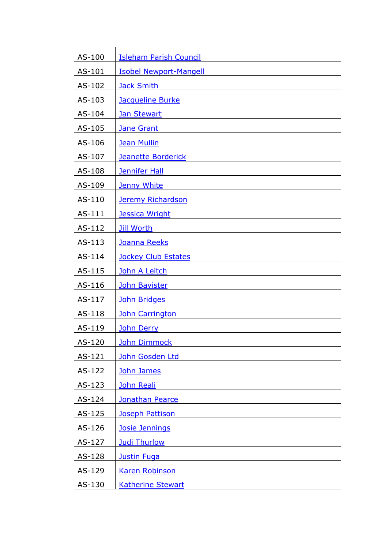| AS-100 | <b>Isleham Parish Council</b> |
|--------|-------------------------------|
| AS-101 | <b>Isobel Newport-Mangell</b> |
| AS-102 | <b>Jack Smith</b>             |
| AS-103 | Jacqueline Burke              |
| AS-104 | <b>Jan Stewart</b>            |
| AS-105 | <b>Jane Grant</b>             |
| AS-106 | <b>Jean Mullin</b>            |
| AS-107 | <b>Jeanette Borderick</b>     |
| AS-108 | <b>Jennifer Hall</b>          |
| AS-109 | <b>Jenny White</b>            |
| AS-110 | <b>Jeremy Richardson</b>      |
| AS-111 | <b>Jessica Wright</b>         |
| AS-112 | <b>Jill Worth</b>             |
| AS-113 | Joanna Reeks                  |
| AS-114 | Jockey Club Estates           |
| AS-115 | John A Leitch                 |
| AS-116 | <b>John Bavister</b>          |
| AS-117 | John Bridges                  |
| AS-118 | <b>John Carrington</b>        |
| AS-119 | <b>John Derry</b>             |
| AS-120 | <b>John Dimmock</b>           |
| AS-121 | John Gosden Ltd               |
| AS-122 | John James                    |
| AS-123 | John Reali                    |
| AS-124 | <b>Jonathan Pearce</b>        |
| AS-125 | Joseph Pattison               |
| AS-126 | <b>Josie Jennings</b>         |
| AS-127 | <b>Judi Thurlow</b>           |
| AS-128 | <b>Justin Fuga</b>            |
| AS-129 | <b>Karen Robinson</b>         |
| AS-130 | <b>Katherine Stewart</b>      |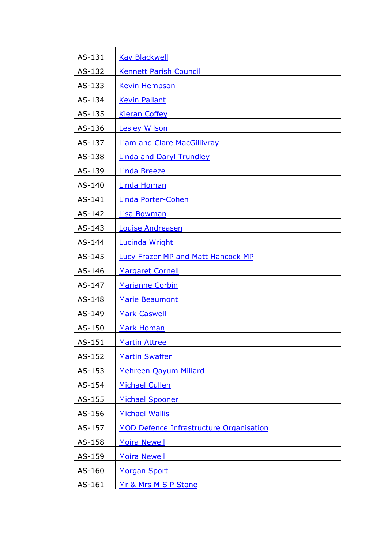| AS-131 | <b>Kay Blackwell</b>                           |
|--------|------------------------------------------------|
| AS-132 | <b>Kennett Parish Council</b>                  |
| AS-133 | <b>Kevin Hempson</b>                           |
| AS-134 | <b>Kevin Pallant</b>                           |
| AS-135 | <b>Kieran Coffey</b>                           |
| AS-136 | <b>Lesley Wilson</b>                           |
| AS-137 | <b>Liam and Clare MacGillivray</b>             |
| AS-138 | <b>Linda and Daryl Trundley</b>                |
| AS-139 | <b>Linda Breeze</b>                            |
| AS-140 | Linda Homan                                    |
| AS-141 | Linda Porter-Cohen                             |
| AS-142 | <b>Lisa Bowman</b>                             |
| AS-143 | <b>Louise Andreasen</b>                        |
| AS-144 | <b>Lucinda Wright</b>                          |
| AS-145 | Lucy Frazer MP and Matt Hancock MP             |
| AS-146 | <b>Margaret Cornell</b>                        |
| AS-147 | <b>Marianne Corbin</b>                         |
| AS-148 | Marie Beaumont                                 |
| AS-149 | <b>Mark Caswell</b>                            |
| AS-150 | <b>Mark Homan</b>                              |
| AS-151 | <b>Martin Attree</b>                           |
| AS-152 | <b>Martin Swaffer</b>                          |
| AS-153 | <b>Mehreen Qayum Millard</b>                   |
| AS-154 | <b>Michael Cullen</b>                          |
| AS-155 | <b>Michael Spooner</b>                         |
| AS-156 | <b>Michael Wallis</b>                          |
| AS-157 | <b>MOD Defence Infrastructure Organisation</b> |
| AS-158 | <b>Moira Newell</b>                            |
| AS-159 | <b>Moira Newell</b>                            |
| AS-160 | <b>Morgan Sport</b>                            |
| AS-161 | Mr & Mrs M S P Stone                           |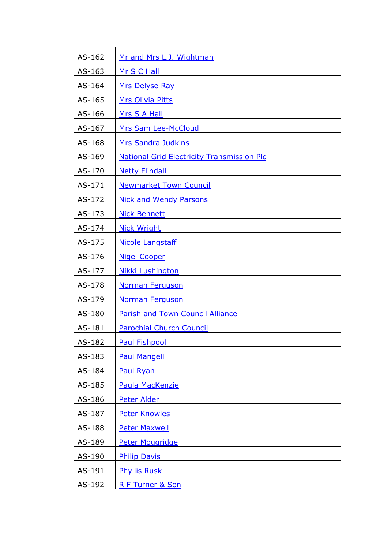| AS-162 | Mr and Mrs L.J. Wightman                          |
|--------|---------------------------------------------------|
| AS-163 | Mr S C Hall                                       |
| AS-164 | Mrs Delyse Ray                                    |
| AS-165 | <b>Mrs Olivia Pitts</b>                           |
| AS-166 | <u>Mrs S A Hall</u>                               |
| AS-167 | Mrs Sam Lee-McCloud                               |
| AS-168 | Mrs Sandra Judkins                                |
| AS-169 | <b>National Grid Electricity Transmission Plc</b> |
| AS-170 | <b>Netty Flindall</b>                             |
| AS-171 | <b>Newmarket Town Council</b>                     |
| AS-172 | <b>Nick and Wendy Parsons</b>                     |
| AS-173 | <b>Nick Bennett</b>                               |
| AS-174 | <b>Nick Wright</b>                                |
| AS-175 | <b>Nicole Langstaff</b>                           |
| AS-176 | <b>Nigel Cooper</b>                               |
| AS-177 | Nikki Lushington                                  |
| AS-178 | <b>Norman Ferguson</b>                            |
| AS-179 | <b>Norman Ferguson</b>                            |
| AS-180 | <b>Parish and Town Council Alliance</b>           |
| AS-181 | <b>Parochial Church Council</b>                   |
| AS-182 | <b>Paul Fishpool</b>                              |
| AS-183 | <b>Paul Mangell</b>                               |
| AS-184 | <b>Paul Ryan</b>                                  |
| AS-185 | Paula MacKenzie                                   |
| AS-186 | Peter Alder                                       |
| AS-187 | <b>Peter Knowles</b>                              |
| AS-188 | <b>Peter Maxwell</b>                              |
| AS-189 | Peter Moggridge                                   |
| AS-190 | <b>Philip Davis</b>                               |
| AS-191 | <b>Phyllis Rusk</b>                               |
| AS-192 | <u>R F Turner &amp; Son</u>                       |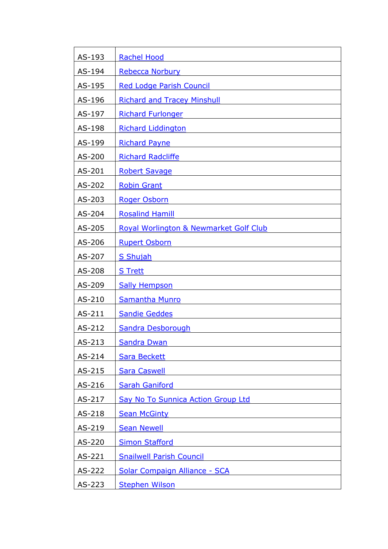| AS-193 | <b>Rachel Hood</b>                     |
|--------|----------------------------------------|
| AS-194 | <b>Rebecca Norbury</b>                 |
| AS-195 | <b>Red Lodge Parish Council</b>        |
| AS-196 | <b>Richard and Tracey Minshull</b>     |
| AS-197 | <b>Richard Furlonger</b>               |
| AS-198 | <b>Richard Liddington</b>              |
| AS-199 | <b>Richard Payne</b>                   |
| AS-200 | <b>Richard Radcliffe</b>               |
| AS-201 | <b>Robert Savage</b>                   |
| AS-202 | <b>Robin Grant</b>                     |
| AS-203 | <b>Roger Osborn</b>                    |
| AS-204 | <b>Rosalind Hamill</b>                 |
| AS-205 | Royal Worlington & Newmarket Golf Club |
| AS-206 | <b>Rupert Osborn</b>                   |
| AS-207 | <b>S</b> Shujah                        |
| AS-208 | <b>S</b> Trett                         |
| AS-209 | <b>Sally Hempson</b>                   |
| AS-210 | <b>Samantha Munro</b>                  |
| AS-211 | <b>Sandie Geddes</b>                   |
| AS-212 | <b>Sandra Desborough</b>               |
| AS-213 | <b>Sandra Dwan</b>                     |
| AS-214 | <b>Sara Beckett</b>                    |
| AS-215 | <b>Sara Caswell</b>                    |
| AS-216 | <b>Sarah Ganiford</b>                  |
| AS-217 | Say No To Sunnica Action Group Ltd     |
| AS-218 | <b>Sean McGinty</b>                    |
| AS-219 | <b>Sean Newell</b>                     |
| AS-220 | <b>Simon Stafford</b>                  |
| AS-221 | <b>Snailwell Parish Council</b>        |
| AS-222 | <b>Solar Compaign Alliance - SCA</b>   |
| AS-223 | <b>Stephen Wilson</b>                  |